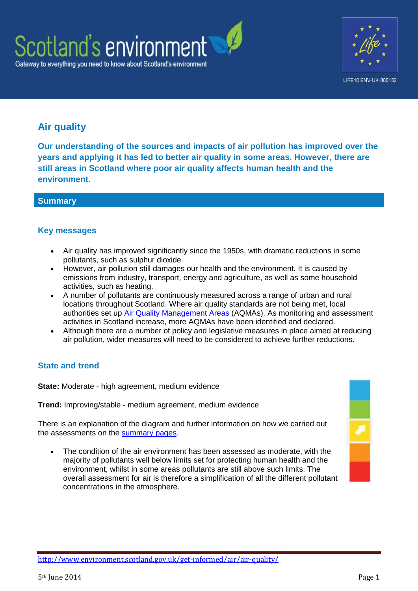



# **Air quality**

**Our understanding of the sources and impacts of air pollution has improved over the years and applying it has led to better air quality in some areas. However, there are still areas in Scotland where poor air quality affects human health and the environment.**

### **Summary**

# **Key messages**

- Air quality has improved significantly since the 1950s, with dramatic reductions in some pollutants, such as sulphur dioxide.
- However, air pollution still damages our health and the environment. It is caused by emissions from industry, transport, energy and agriculture, as well as some household activities, such as heating.
- A number of pollutants are continuously measured across a range of urban and rural locations throughout Scotland. Where air quality standards are not being met, local authorities set up [Air Quality Management Areas](http://www.scottishairquality.co.uk/laqm.php) (AQMAs). As monitoring and assessment activities in Scotland increase, more AQMAs have been identified and declared.
- Although there are a number of policy and legislative measures in place aimed at reducing air pollution, wider measures will need to be considered to achieve further reductions.

# **State and trend**

**State:** Moderate - high agreement, medium evidence

**Trend:** Improving/stable - medium agreement, medium evidence

There is an explanation of the diagram and further information on how we carried out the assessments on the [summary pages.](http://www.environment.scotland.gov.uk/get-informed/state-of-the-environment-summary/state-and-trend-assessments/)

 The condition of the air environment has been assessed as moderate, with the majority of pollutants well below limits set for protecting human health and the environment, whilst in some areas pollutants are still above such limits. The overall assessment for air is therefore a simplification of all the different pollutant concentrations in the atmosphere.



<http://www.environment.scotland.gov.uk/get-informed/air/air-quality/>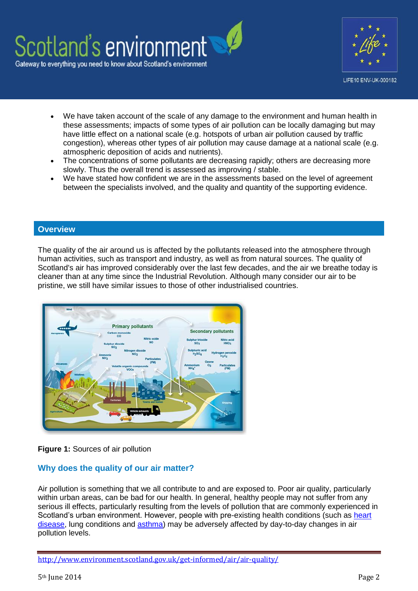



LIFE10 ENV-UK-000182

- We have taken account of the scale of any damage to the environment and human health in these assessments; impacts of some types of air pollution can be locally damaging but may have little effect on a national scale (e.g. hotspots of urban air pollution caused by traffic congestion), whereas other types of air pollution may cause damage at a national scale (e.g. atmospheric deposition of acids and nutrients).
- The concentrations of some pollutants are decreasing rapidly; others are decreasing more slowly. Thus the overall trend is assessed as improving / stable.
- We have stated how confident we are in the assessments based on the level of agreement between the specialists involved, and the quality and quantity of the supporting evidence.

### **Overview**

The quality of the air around us is affected by the pollutants released into the atmosphere through human activities, such as transport and industry, as well as from natural sources. The quality of Scotland's air has improved considerably over the last few decades, and the air we breathe today is cleaner than at any time since the Industrial Revolution. Although many consider our air to be pristine, we still have similar issues to those of other industrialised countries.



### **Figure 1:** Sources of air pollution

### **Why does the quality of our air matter?**

Air pollution is something that we all contribute to and are exposed to. Poor air quality, particularly within urban areas, can be bad for our health. In general, healthy people may not suffer from any serious ill effects, particularly resulting from the levels of pollution that are commonly experienced in Scotland's urban environment. However, people with pre-existing health conditions (such as [heart](http://www.comeap.org.uk/air/cardiovascular-disease)  [disease,](http://www.comeap.org.uk/air/cardiovascular-disease) lung conditions and [asthma\)](http://www.comeap.org.uk/air/asthma-and-air-pollution) may be adversely affected by day-to-day changes in air pollution levels.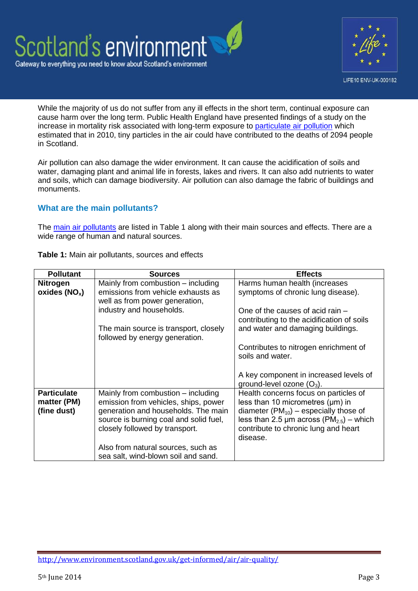



While the majority of us do not suffer from any ill effects in the short term, continual exposure can cause harm over the long term. Public Health England have presented findings of a study on the increase in mortality risk associated with long-term exposure to [particulate air pollution](http://www.hpa.org.uk/webc/HPAwebFile/HPAweb_C/1317141074607) which estimated that in 2010, tiny particles in the air could have contributed to the deaths of 2094 people in Scotland.

Air pollution can also damage the wider environment. It can cause the acidification of soils and water, damaging plant and animal life in forests, lakes and rivers. It can also add nutrients to water and soils, which can damage biodiversity. Air pollution can also damage the fabric of buildings and monuments.

### **What are the main pollutants?**

The [main air pollutants](http://www.scottishairquality.co.uk/air-quality/?n_action=pollutants) are listed in Table 1 along with their main sources and effects. There are a wide range of human and natural sources.

| <b>Pollutant</b>                                 | <b>Sources</b>                                                                                                                                                                                | <b>Effects</b>                                                                                                                                                                                                                                  |  |
|--------------------------------------------------|-----------------------------------------------------------------------------------------------------------------------------------------------------------------------------------------------|-------------------------------------------------------------------------------------------------------------------------------------------------------------------------------------------------------------------------------------------------|--|
| <b>Nitrogen</b><br>oxides $(NO_x)$               | Mainly from combustion – including<br>emissions from vehicle exhausts as<br>well as from power generation,<br>industry and households.<br>The main source is transport, closely               | Harms human health (increases<br>symptoms of chronic lung disease).                                                                                                                                                                             |  |
|                                                  |                                                                                                                                                                                               | One of the causes of acid rain $-$<br>contributing to the acidification of soils<br>and water and damaging buildings.                                                                                                                           |  |
|                                                  | followed by energy generation.                                                                                                                                                                |                                                                                                                                                                                                                                                 |  |
|                                                  |                                                                                                                                                                                               | Contributes to nitrogen enrichment of<br>soils and water.                                                                                                                                                                                       |  |
|                                                  |                                                                                                                                                                                               | A key component in increased levels of<br>ground-level ozone $(O_3)$ .                                                                                                                                                                          |  |
| <b>Particulate</b><br>matter (PM)<br>(fine dust) | Mainly from combustion – including<br>emission from vehicles, ships, power<br>generation and households. The main<br>source is burning coal and solid fuel,<br>closely followed by transport. | Health concerns focus on particles of<br>less than 10 micrometres $(\mu m)$ in<br>diameter ( $PM_{10}$ ) – especially those of<br>less than 2.5 $\mu$ m across (PM <sub>2.5</sub> ) – which<br>contribute to chronic lung and heart<br>disease. |  |
|                                                  | Also from natural sources, such as<br>sea salt, wind-blown soil and sand.                                                                                                                     |                                                                                                                                                                                                                                                 |  |

**Table 1:** Main air pollutants, sources and effects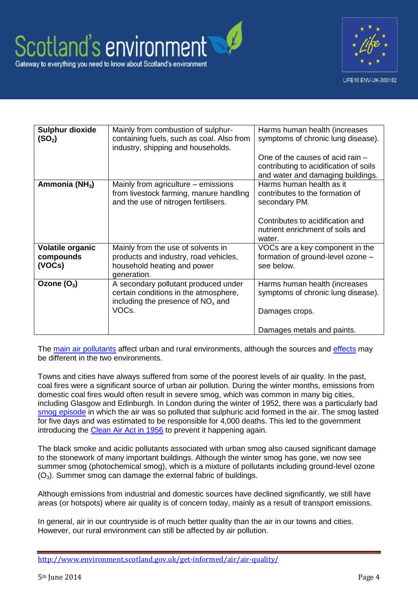



| <b>Sulphur dioxide</b><br>(SO <sub>2</sub> ) | Mainly from combustion of sulphur-<br>containing fuels, such as coal. Also from<br>industry, shipping and households.  | Harms human health (increases<br>symptoms of chronic lung disease).                                                                                  |
|----------------------------------------------|------------------------------------------------------------------------------------------------------------------------|------------------------------------------------------------------------------------------------------------------------------------------------------|
|                                              |                                                                                                                        | One of the causes of acid rain $-$<br>contributing to acidification of soils<br>and water and damaging buildings.                                    |
| Ammonia (NH <sub>3</sub> )                   | Mainly from agriculture – emissions<br>from livestock farming, manure handling<br>and the use of nitrogen fertilisers. | Harms human health as it<br>contributes to the formation of<br>secondary PM.<br>Contributes to acidification and<br>nutrient enrichment of soils and |
|                                              |                                                                                                                        | water.                                                                                                                                               |
| <b>Volatile organic</b>                      | Mainly from the use of solvents in                                                                                     | VOCs are a key component in the                                                                                                                      |
| compounds<br>(VOCs)                          | products and industry, road vehicles,<br>household heating and power<br>generation.                                    | formation of ground-level ozone -<br>see below.                                                                                                      |
| Ozone $(O_3)$                                | A secondary pollutant produced under<br>certain conditions in the atmosphere,<br>including the presence of $NOx$ and   | Harms human health (increases<br>symptoms of chronic lung disease).                                                                                  |
|                                              | VOC <sub>s</sub>                                                                                                       | Damages crops.                                                                                                                                       |
|                                              |                                                                                                                        | Damages metals and paints.                                                                                                                           |

The [main air pollutants](http://www.scottishairquality.co.uk/air-quality/?n_action=pollutants) affect urban and rural environments, although the sources and [effects](http://www.scottishairquality.co.uk/air-quality/?n_action=impacts) may be different in the two environments.

Towns and cities have always suffered from some of the poorest levels of air quality. In the past, coal fires were a significant source of urban air pollution. During the winter months, emissions from domestic coal fires would often result in severe smog, which was common in many big cities, including Glasgow and Edinburgh. In London during the winter of 1952, there was a particularly bad [smog episode](http://legacy.london.gov.uk/mayor/environment/air_quality/docs/50_years_on.pdf) in which the air was so polluted that sulphuric acid formed in the air. The smog lasted for five days and was estimated to be responsible for 4,000 deaths. This led to the government introducing the [Clean Air Act in 1956](http://www.legislation.gov.uk/ukpga/Eliz2/4-5/52/enacted) to prevent it happening again.

The black smoke and acidic pollutants associated with urban smog also caused significant damage to the stonework of many important buildings. Although the winter smog has gone, we now see summer smog (photochemical smog), which is a mixture of pollutants including ground-level ozone  $(O_3)$ . Summer smog can damage the external fabric of buildings.

Although emissions from industrial and domestic sources have declined significantly, we still have areas (or hotspots) where air quality is of concern today, mainly as a result of transport emissions.

In general, air in our countryside is of much better quality than the air in our towns and cities. However, our rural environment can still be affected by air pollution.

<http://www.environment.scotland.gov.uk/get-informed/air/air-quality/>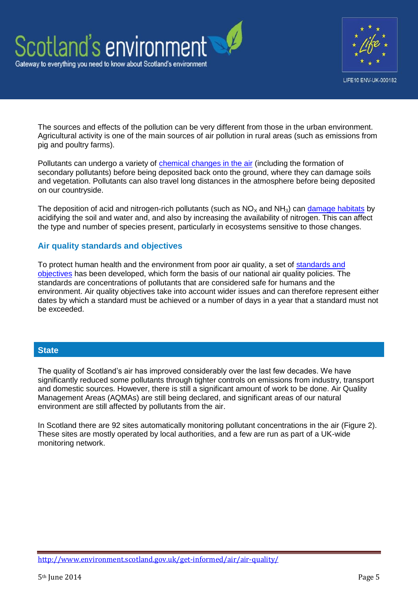



The sources and effects of the pollution can be very different from those in the urban environment. Agricultural activity is one of the main sources of air pollution in rural areas (such as emissions from pig and poultry farms).

Pollutants can undergo a variety of [chemical changes in the air](http://www.apis.ac.uk/starters-guide-air-pollution-and-pollution-sources) (including the formation of secondary pollutants) before being deposited back onto the ground, where they can damage soils and vegetation. Pollutants can also travel long distances in the atmosphere before being deposited on our countryside.

The deposition of acid and nitrogen-rich pollutants (such as  $NO<sub>X</sub>$  and  $NH<sub>3</sub>$ ) can [damage habitats](http://www.apis.ac.uk/) by acidifying the soil and water and, and also by increasing the availability of nitrogen. This can affect the type and number of species present, particularly in ecosystems sensitive to those changes.

### **Air quality standards and objectives**

To protect human health and the environment from poor air quality, a set of [standards and](http://www.scottishairquality.co.uk/air-quality/?n_action=standards&t=5)  [objectives](http://www.scottishairquality.co.uk/air-quality/?n_action=standards&t=5) has been developed, which form the basis of our national air quality policies. The standards are concentrations of pollutants that are considered safe for humans and the environment. Air quality objectives take into account wider issues and can therefore represent either dates by which a standard must be achieved or a number of days in a year that a standard must not be exceeded.

### **State**

The quality of Scotland's air has improved considerably over the last few decades. We have significantly reduced some pollutants through tighter controls on emissions from industry, transport and domestic sources. However, there is still a significant amount of work to be done. Air Quality Management Areas (AQMAs) are still being declared, and significant areas of our natural environment are still affected by pollutants from the air.

In Scotland there are 92 sites automatically monitoring pollutant concentrations in the air (Figure 2). These sites are mostly operated by local authorities, and a few are run as part of a UK-wide monitoring network.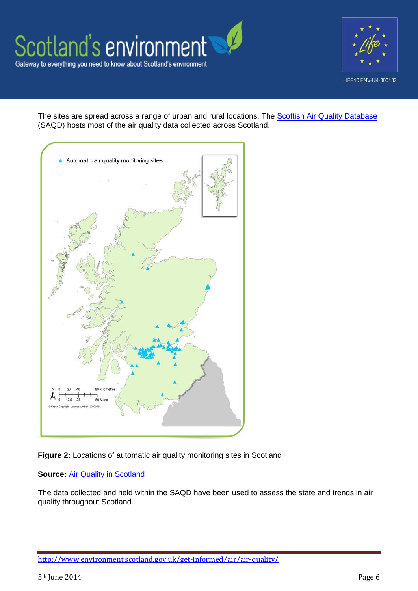



The sites are spread across a range of urban and rural locations. The **Scottish Air Quality Database** (SAQD) hosts most of the air quality data collected across Scotland.





#### **Source: [Air Quality in Scotland](http://www.scottishairquality.co.uk/)**

The data collected and held within the SAQD have been used to assess the state and trends in air quality throughout Scotland.

<http://www.environment.scotland.gov.uk/get-informed/air/air-quality/>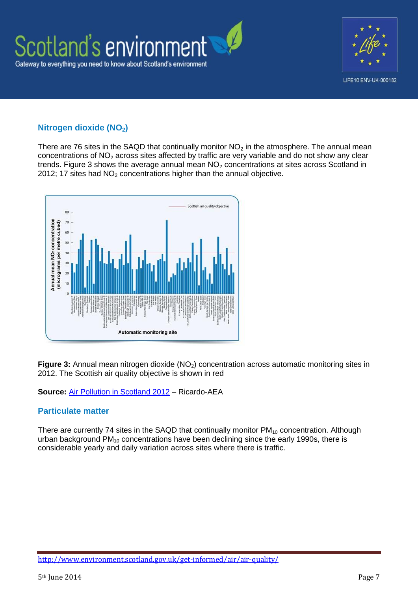

# **Nitrogen dioxide (NO2)**

There are 76 sites in the SAQD that continually monitor  $NO<sub>2</sub>$  in the atmosphere. The annual mean concentrations of  $NO<sub>2</sub>$  across sites affected by traffic are very variable and do not show any clear trends. Figure 3 shows the average annual mean  $NO<sub>2</sub>$  concentrations at sites across Scotland in 2012; 17 sites had  $NO<sub>2</sub>$  concentrations higher than the annual objective.



**Figure 3:** Annual mean nitrogen dioxide (NO<sub>2</sub>) concentration across automatic monitoring sites in 2012. The Scottish air quality objective is shown in red

### **Source:** [Air Pollution in Scotland 2012](http://www.scottishairquality.co.uk/reports.php) – Ricardo-AEA

### **Particulate matter**

There are currently 74 sites in the SAQD that continually monitor  $PM_{10}$  concentration. Although urban background  $PM_{10}$  concentrations have been declining since the early 1990s, there is considerable yearly and daily variation across sites where there is traffic.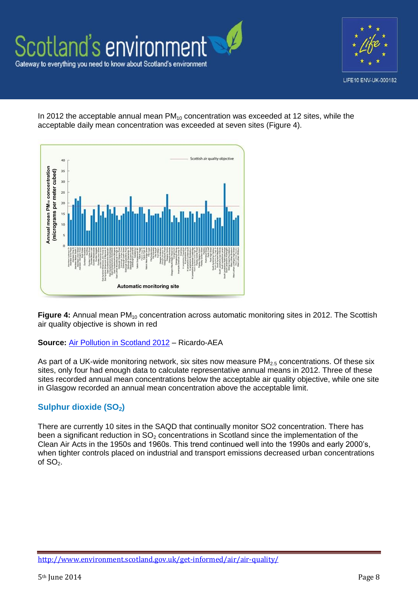

In 2012 the acceptable annual mean  $PM_{10}$  concentration was exceeded at 12 sites, while the acceptable daily mean concentration was exceeded at seven sites (Figure 4).



Figure 4: Annual mean PM<sub>10</sub> concentration across automatic monitoring sites in 2012. The Scottish air quality objective is shown in red

#### **Source:** [Air Pollution in Scotland 2012](http://www.scottishairquality.co.uk/reports.php) – Ricardo-AEA

As part of a UK-wide monitoring network, six sites now measure  $PM<sub>2.5</sub>$  concentrations. Of these six sites, only four had enough data to calculate representative annual means in 2012. Three of these sites recorded annual mean concentrations below the acceptable air quality objective, while one site in Glasgow recorded an annual mean concentration above the acceptable limit.

# **Sulphur dioxide (SO2)**

There are currently 10 sites in the SAQD that continually monitor SO2 concentration. There has been a significant reduction in  $SO<sub>2</sub>$  concentrations in Scotland since the implementation of the Clean Air Acts in the 1950s and 1960s. This trend continued well into the 1990s and early 2000's, when tighter controls placed on industrial and transport emissions decreased urban concentrations of  $SO<sub>2</sub>$ .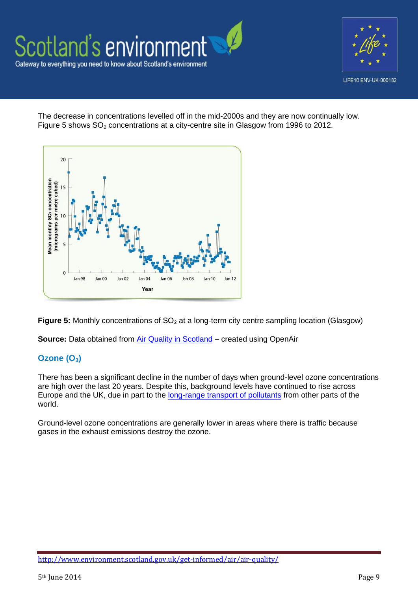

The decrease in concentrations levelled off in the mid-2000s and they are now continually low. Figure 5 shows  $SO<sub>2</sub>$  concentrations at a city-centre site in Glasgow from 1996 to 2012.



**Figure 5:** Monthly concentrations of SO<sub>2</sub> at a long-term city centre sampling location (Glasgow)

**Source:** Data obtained from *Air Quality in Scotland* – created using OpenAir

# **Ozone (O3)**

There has been a significant decline in the number of days when ground-level ozone concentrations are high over the last 20 years. Despite this, background levels have continued to rise across Europe and the UK, due in part to the [long-range transport of pollutants](http://www.rotap.ceh.ac.uk/documents) from other parts of the world.

Ground-level ozone concentrations are generally lower in areas where there is traffic because gases in the exhaust emissions destroy the ozone.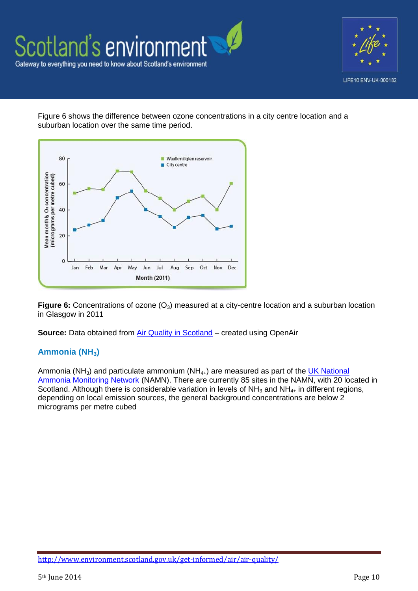



Figure 6 shows the difference between ozone concentrations in a city centre location and a suburban location over the same time period.



**Figure 6:** Concentrations of ozone (O<sub>3</sub>) measured at a city-centre location and a suburban location in Glasgow in 2011

**Source:** Data obtained from [Air Quality in Scotland](http://www.scottishairquality.co.uk/data.php) – created using OpenAir

# **Ammonia (NH3)**

Ammonia (NH<sub>3</sub>) and particulate ammonium (NH $_{4+}$ ) are measured as part of the UK National [Ammonia Monitoring Network](http://uk-air.defra.gov.uk/networks/network-info?view=nh3) (NAMN). There are currently 85 sites in the NAMN, with 20 located in Scotland. Although there is considerable variation in levels of  $NH<sub>3</sub>$  and  $NH<sub>4+</sub>$  in different regions, depending on local emission sources, the general background concentrations are below 2 micrograms per metre cubed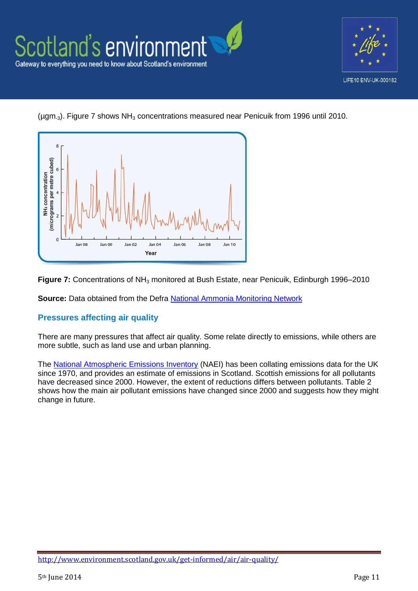



( $\mu$ gm<sub>-3</sub>). Figure 7 shows NH<sub>3</sub> concentrations measured near Penicuik from 1996 until 2010.



**Figure 7:** Concentrations of NH<sub>3</sub> monitored at Bush Estate, near Penicuik, Edinburgh 1996–2010

**Source:** Data obtained from the Defra [National Ammonia Monitoring Network](http://uk-air.defra.gov.uk/networks/network-info?view=nh3)

# **Pressures affecting air quality**

There are many pressures that affect air quality. Some relate directly to emissions, while others are more subtle, such as land use and urban planning.

The [National Atmospheric Emissions Inventory](http://naei.defra.gov.uk/) (NAEI) has been collating emissions data for the UK since 1970, and provides an estimate of emissions in Scotland. Scottish emissions for all pollutants have decreased since 2000. However, the extent of reductions differs between pollutants. Table 2 shows how the main air pollutant emissions have changed since 2000 and suggests how they might change in future.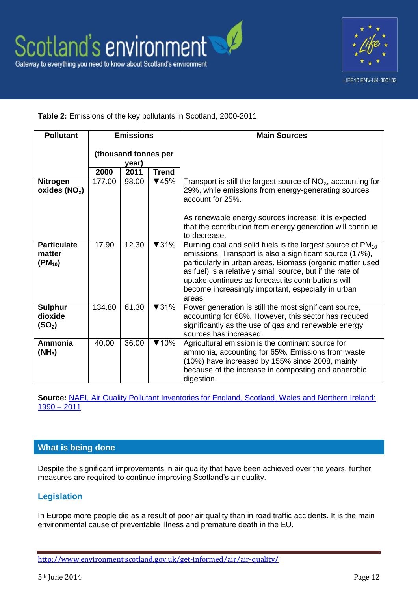

**Table 2:** Emissions of the key pollutants in Scotland, 2000-2011

| <b>Pollutant</b>                                | <b>Emissions</b>              |       |                          | <b>Main Sources</b>                                                                                                                                                                                                                                                                                                                                                                 |
|-------------------------------------------------|-------------------------------|-------|--------------------------|-------------------------------------------------------------------------------------------------------------------------------------------------------------------------------------------------------------------------------------------------------------------------------------------------------------------------------------------------------------------------------------|
|                                                 | (thousand tonnes per<br>year) |       |                          |                                                                                                                                                                                                                                                                                                                                                                                     |
|                                                 | 2000                          | 2011  | <b>Trend</b>             |                                                                                                                                                                                                                                                                                                                                                                                     |
| <b>Nitrogen</b><br>oxides $(NO_x)$              | 177.00                        | 98.00 | $\P$ 45%                 | Transport is still the largest source of $NOx$ , accounting for<br>29%, while emissions from energy-generating sources<br>account for 25%.                                                                                                                                                                                                                                          |
|                                                 |                               |       |                          | As renewable energy sources increase, it is expected<br>that the contribution from energy generation will continue<br>to decrease.                                                                                                                                                                                                                                                  |
| <b>Particulate</b><br>matter<br>$(PM_{10})$     | 17.90                         | 12.30 | $\blacktriangledown$ 31% | Burning coal and solid fuels is the largest source of PM <sub>10</sub><br>emissions. Transport is also a significant source (17%),<br>particularly in urban areas. Biomass (organic matter used<br>as fuel) is a relatively small source, but if the rate of<br>uptake continues as forecast its contributions will<br>become increasingly important, especially in urban<br>areas. |
| <b>Sulphur</b><br>dioxide<br>(SO <sub>2</sub> ) | 134.80                        | 61.30 | $\blacktriangledown$ 31% | Power generation is still the most significant source,<br>accounting for 68%. However, this sector has reduced<br>significantly as the use of gas and renewable energy<br>sources has increased.                                                                                                                                                                                    |
| Ammonia<br>$(NH_3)$                             | 40.00                         | 36.00 | $\P$ 10%                 | Agricultural emission is the dominant source for<br>ammonia, accounting for 65%. Emissions from waste<br>(10%) have increased by 155% since 2008, mainly<br>because of the increase in composting and anaerobic<br>digestion.                                                                                                                                                       |

**Source:** [NAEI, Air Quality Pollutant Inventories for England, Scotland, Wales and Northern Ireland:](http://naei.defra.gov.uk/)   $1990 - 2011$ 

# **What is being done**

Despite the significant improvements in air quality that have been achieved over the years, further measures are required to continue improving Scotland's air quality.

# **Legislation**

In Europe more people die as a result of poor air quality than in road traffic accidents. It is the main environmental cause of preventable illness and premature death in the EU.

<http://www.environment.scotland.gov.uk/get-informed/air/air-quality/>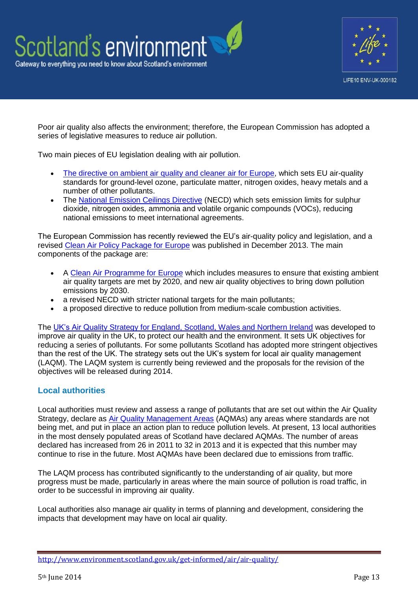



Poor air quality also affects the environment; therefore, the European Commission has adopted a series of legislative measures to reduce air pollution.

Two main pieces of EU legislation dealing with air pollution.

- [The directive on ambient air quality and cleaner air for Europe,](http://eur-lex.europa.eu/LexUriServ/LexUriServ.do?uri=OJ:L:2008:152:0001:0044:EN:PDF) which sets EU air-quality standards for ground-level ozone, particulate matter, nitrogen oxides, heavy metals and a number of other pollutants.
- The [National Emission Ceilings Directive](http://ec.europa.eu/environment/air/pollutants/ceilings.htm) (NECD) which sets emission limits for sulphur dioxide, nitrogen oxides, ammonia and volatile organic compounds (VOCs), reducing national emissions to meet international agreements.

The European Commission has recently reviewed the EU's air-quality policy and legislation, and a revised [Clean Air Policy Package for Europe](http://ec.europa.eu/environment/air/clean_air_policy.htm) was published in December 2013. The main components of the package are:

- A [Clean Air Programme for Europe](http://eur-lex.europa.eu/LexUriServ/LexUriServ.do?uri=CELEX:52013DC0918:EN:NOT) which includes measures to ensure that existing ambient air quality targets are met by 2020, and new air quality objectives to bring down pollution emissions by 2030.
- a revised NECD with stricter national targets for the main pollutants;
- a proposed directive to reduce pollution from medium-scale combustion activities.

The [UK's Air Quality Strategy for England, Scotland, Wales and Northern Ireland](https://www.gov.uk/government/publications/the-air-quality-strategy-for-england-scotland-wales-and-northern-ireland-volume-1) was developed to improve air quality in the UK, to protect our health and the environment. It sets UK objectives for reducing a series of pollutants. For some pollutants Scotland has adopted more stringent objectives than the rest of the UK. The strategy sets out the UK's system for local air quality management (LAQM). The LAQM system is currently being reviewed and the proposals for the revision of the objectives will be released during 2014.

# **Local authorities**

Local authorities must review and assess a range of pollutants that are set out within the Air Quality Strategy, declare as Air [Quality Management Areas](http://www.scottishairquality.co.uk/laqm.php) (AQMAs) any areas where standards are not being met, and put in place an action plan to reduce pollution levels. At present, 13 local authorities in the most densely populated areas of Scotland have declared AQMAs. The number of areas declared has increased from 26 in 2011 to 32 in 2013 and it is expected that this number may continue to rise in the future. Most AQMAs have been declared due to emissions from traffic.

The LAQM process has contributed significantly to the understanding of air quality, but more progress must be made, particularly in areas where the main source of pollution is road traffic, in order to be successful in improving air quality.

Local authorities also manage air quality in terms of planning and development, considering the impacts that development may have on local air quality.

<http://www.environment.scotland.gov.uk/get-informed/air/air-quality/>